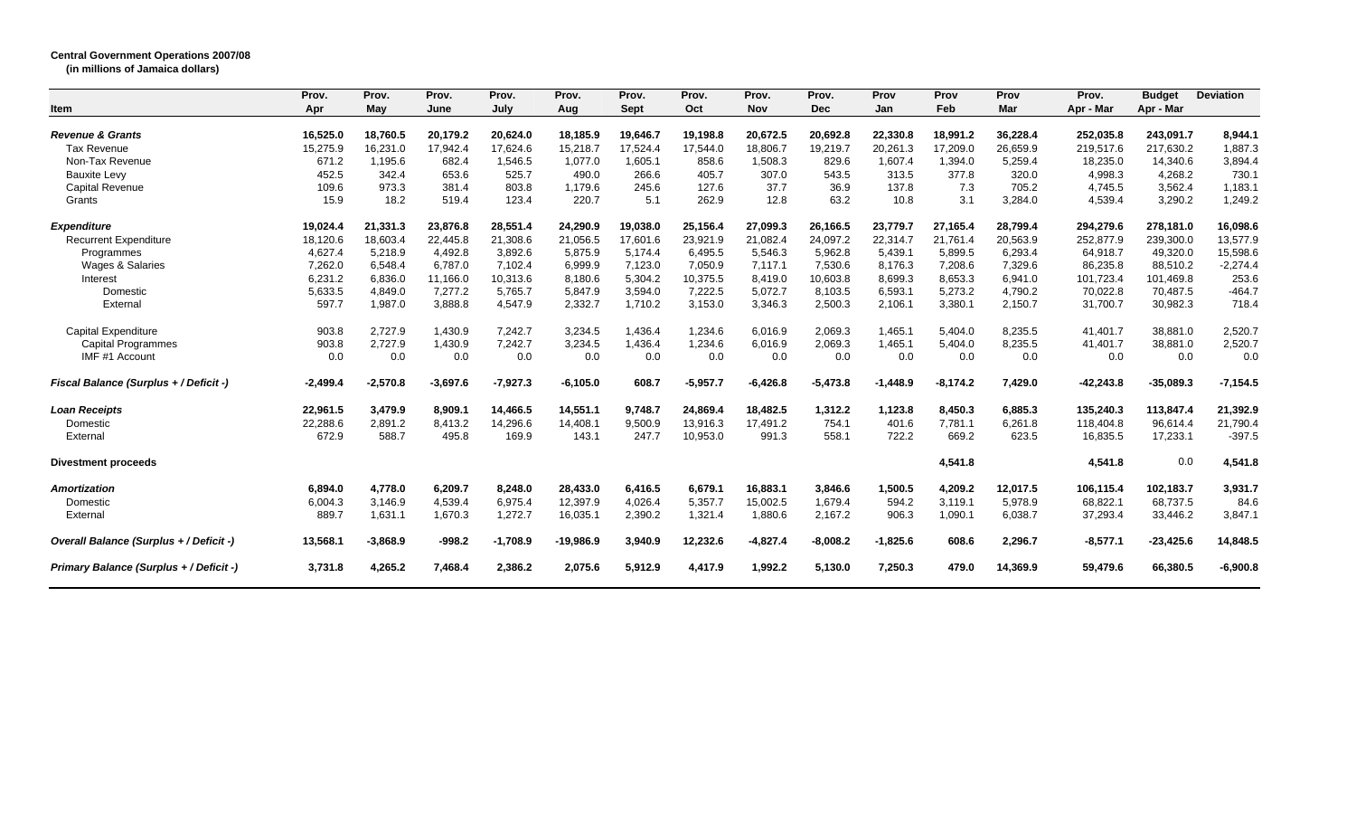## **Central Government Operations 2007/08**

**(in millions of Jamaica dollars)**

|                                         | Prov.      | Prov.      | Prov.      | Prov.      | Prov.       | Prov.    | Prov.      | Prov.      | Prov.      | Prov       | Prov       | Prov     | Prov.       | <b>Budget</b> | <b>Deviation</b> |
|-----------------------------------------|------------|------------|------------|------------|-------------|----------|------------|------------|------------|------------|------------|----------|-------------|---------------|------------------|
| Item                                    | Apr        | May        | June       | July       | Aug         | Sept     | Oct        | <b>Nov</b> | <b>Dec</b> | Jan        | Feb        | Mar      | Apr - Mar   | Apr - Mar     |                  |
| <b>Revenue &amp; Grants</b>             | 16,525.0   | 18,760.5   | 20,179.2   | 20,624.0   | 18.185.9    | 19.646.7 | 19.198.8   | 20,672.5   | 20.692.8   | 22,330.8   | 18,991.2   | 36,228.4 | 252.035.8   | 243.091.7     | 8,944.1          |
| <b>Tax Revenue</b>                      | 15,275.9   | 16,231.0   | 17,942.4   | 17,624.6   | 15,218.7    | 17,524.4 | 17,544.0   | 18,806.7   | 19,219.7   | 20,261.3   | 17,209.0   | 26,659.9 | 219,517.6   | 217,630.2     | 1,887.3          |
| Non-Tax Revenue                         | 671.2      | 1,195.6    | 682.4      | 1,546.5    | 1.077.0     | 1,605.1  | 858.6      | 1,508.3    | 829.6      | 1.607.4    | 1,394.0    | 5,259.4  | 18,235.0    | 14,340.6      | 3,894.4          |
| <b>Bauxite Levy</b>                     | 452.5      | 342.4      | 653.6      | 525.7      | 490.0       | 266.6    | 405.7      | 307.0      | 543.5      | 313.5      | 377.8      | 320.0    | 4,998.3     | 4,268.2       | 730.1            |
| <b>Capital Revenue</b>                  | 109.6      | 973.3      | 381.4      | 803.8      | 1,179.6     | 245.6    | 127.6      | 37.7       | 36.9       | 137.8      | 7.3        | 705.2    | 4,745.5     | 3,562.4       | 1,183.1          |
| Grants                                  | 15.9       | 18.2       | 519.4      | 123.4      | 220.7       | 5.1      | 262.9      | 12.8       | 63.2       | 10.8       | 3.1        | 3,284.0  | 4,539.4     | 3,290.2       | 1,249.2          |
| <b>Expenditure</b>                      | 19,024.4   | 21,331.3   | 23,876.8   | 28,551.4   | 24,290.9    | 19,038.0 | 25,156.4   | 27,099.3   | 26,166.5   | 23,779.7   | 27,165.4   | 28,799.4 | 294,279.6   | 278,181.0     | 16,098.6         |
| <b>Recurrent Expenditure</b>            | 18,120.6   | 18,603.4   | 22,445.8   | 21,308.6   | 21,056.5    | 17,601.6 | 23,921.9   | 21,082.4   | 24,097.2   | 22,314.7   | 21,761.4   | 20,563.9 | 252,877.9   | 239,300.0     | 13,577.9         |
| Programmes                              | 4,627.4    | 5,218.9    | 4,492.8    | 3,892.6    | 5,875.9     | 5,174.4  | 6,495.5    | 5,546.3    | 5,962.8    | 5,439.1    | 5,899.5    | 6,293.4  | 64,918.7    | 49,320.0      | 15,598.6         |
| <b>Wages &amp; Salaries</b>             | 7,262.0    | 6,548.4    | 6.787.0    | 7,102.4    | 6,999.9     | 7,123.0  | 7,050.9    | 7,117.1    | 7,530.6    | 8.176.3    | 7,208.6    | 7,329.6  | 86,235.8    | 88,510.2      | $-2,274.4$       |
| Interest                                | 6,231.2    | 6,836.0    | 11,166.0   | 10,313.6   | 8,180.6     | 5,304.2  | 10,375.5   | 8,419.0    | 10,603.8   | 8,699.3    | 8,653.3    | 6,941.0  | 101,723.4   | 101,469.8     | 253.6            |
| Domestic                                | 5,633.5    | 4,849.0    | 7,277.2    | 5,765.7    | 5,847.9     | 3,594.0  | 7,222.5    | 5,072.7    | 8,103.5    | 6,593.1    | 5,273.2    | 4,790.2  | 70,022.8    | 70,487.5      | $-464.7$         |
| External                                | 597.7      | 1,987.0    | 3,888.8    | 4,547.9    | 2,332.7     | 1.710.2  | 3,153.0    | 3.346.3    | 2.500.3    | 2.106.1    | 3,380.1    | 2,150.7  | 31,700.7    | 30,982.3      | 718.4            |
| <b>Capital Expenditure</b>              | 903.8      | 2,727.9    | 1,430.9    | 7,242.7    | 3,234.5     | 1,436.4  | 1,234.6    | 6,016.9    | 2,069.3    | 1,465.1    | 5,404.0    | 8,235.5  | 41,401.7    | 38,881.0      | 2,520.7          |
| <b>Capital Programmes</b>               | 903.8      | 2,727.9    | 1,430.9    | 7,242.7    | 3,234.5     | 1,436.4  | 1,234.6    | 6,016.9    | 2,069.3    | 1,465.1    | 5,404.0    | 8,235.5  | 41,401.7    | 38,881.0      | 2,520.7          |
| IMF #1 Account                          | 0.0        | 0.0        | 0.0        | 0.0        | 0.0         | 0.0      | 0.0        | 0.0        | 0.0        | 0.0        | 0.0        | 0.0      | 0.0         | 0.0           | 0.0              |
| Fiscal Balance (Surplus + / Deficit -)  | $-2.499.4$ | $-2,570.8$ | $-3,697.6$ | $-7,927.3$ | $-6,105.0$  | 608.7    | $-5,957.7$ | $-6,426.8$ | $-5,473.8$ | $-1.448.9$ | $-8.174.2$ | 7,429.0  | $-42,243.8$ | $-35,089.3$   | $-7,154.5$       |
| <b>Loan Receipts</b>                    | 22,961.5   | 3,479.9    | 8,909.1    | 14,466.5   | 14,551.1    | 9,748.7  | 24,869.4   | 18,482.5   | 1,312.2    | 1,123.8    | 8,450.3    | 6,885.3  | 135,240.3   | 113,847.4     | 21,392.9         |
| Domestic                                | 22.288.6   | 2,891.2    | 8,413.2    | 14,296.6   | 14,408.1    | 9,500.9  | 13,916.3   | 17.491.2   | 754.1      | 401.6      | 7,781.1    | 6,261.8  | 118,404.8   | 96.614.4      | 21,790.4         |
| External                                | 672.9      | 588.7      | 495.8      | 169.9      | 143.1       | 247.7    | 10,953.0   | 991.3      | 558.1      | 722.2      | 669.2      | 623.5    | 16,835.5    | 17,233.1      | $-397.5$         |
| <b>Divestment proceeds</b>              |            |            |            |            |             |          |            |            |            |            | 4,541.8    |          | 4,541.8     | 0.0           | 4,541.8          |
| Amortization                            | 6.894.0    | 4,778.0    | 6,209.7    | 8.248.0    | 28,433.0    | 6,416.5  | 6,679.1    | 16,883.1   | 3.846.6    | 1,500.5    | 4,209.2    | 12,017.5 | 106,115.4   | 102,183.7     | 3,931.7          |
| Domestic                                | 6,004.3    | 3,146.9    | 4,539.4    | 6,975.4    | 12,397.9    | 4,026.4  | 5,357.7    | 15,002.5   | 1,679.4    | 594.2      | 3,119.1    | 5,978.9  | 68,822.1    | 68,737.5      | 84.6             |
| External                                | 889.7      | 1,631.1    | 1,670.3    | 1,272.7    | 16,035.1    | 2,390.2  | 1,321.4    | 1,880.6    | 2,167.2    | 906.3      | 1,090.1    | 6,038.7  | 37,293.4    | 33,446.2      | 3,847.1          |
| Overall Balance (Surplus + / Deficit -) | 13,568.1   | $-3,868.9$ | $-998.2$   | $-1,708.9$ | $-19,986.9$ | 3,940.9  | 12,232.6   | $-4,827.4$ | $-8,008.2$ | $-1,825.6$ | 608.6      | 2,296.7  | $-8,577.1$  | $-23,425.6$   | 14,848.5         |
| Primary Balance (Surplus + / Deficit -) | 3,731.8    | 4,265.2    | 7,468.4    | 2,386.2    | 2,075.6     | 5,912.9  | 4,417.9    | 1,992.2    | 5,130.0    | 7,250.3    | 479.0      | 14,369.9 | 59,479.6    | 66,380.5      | $-6,900.8$       |